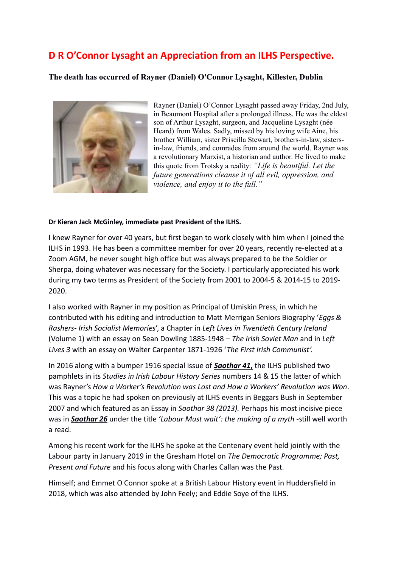# **D R O'Connor Lysaght an Appreciation from an ILHS Perspective.**

## **The death has occurred of Rayner (Daniel) O'Connor Lysaght, Killester, Dublin**



Rayner (Daniel) O'Connor Lysaght passed away Friday, 2nd July, in Beaumont Hospital after a prolonged illness. He was the eldest son of Arthur Lysaght, surgeon, and Jacqueline Lysaght (née Heard) from Wales. Sadly, missed by his loving wife Aine, his brother William, sister Priscilla Stewart, brothers-in-law, sistersin-law, friends, and comrades from around the world. Rayner was a revolutionary Marxist, a historian and author. He lived to make this quote from Trotsky a reality: *"Life is beautiful. Let the future generations cleanse it of all evil, oppression, and violence, and enjoy it to the full."*

#### **Dr Kieran Jack McGinley, immediate past President of the ILHS.**

I knew Rayner for over 40 years, but first began to work closely with him when I joined the ILHS in 1993. He has been a committee member for over 20 years, recently re-elected at a Zoom AGM, he never sought high office but was always prepared to be the Soldier or Sherpa, doing whatever was necessary for the Society. I particularly appreciated his work during my two terms as President of the Society from 2001 to 2004-5 & 2014-15 to 2019- 2020.

I also worked with Rayner in my position as Principal of Umiskin Press, in which he contributed with his editing and introduction to Matt Merrigan Seniors Biography '*Eggs & Rashers- Irish Socialist Memories*', a Chapter in *Left Lives in Twentieth Century Ireland* (Volume 1) with an essay on Sean Dowling 1885-1948 – *The Irish Soviet Man* and in *Left Lives 3* with an essay on Walter Carpenter 1871-1926 '*The First Irish Communist'.*

In 2016 along with a bumper 1916 special issue of *Saothar 41***,** the ILHS published two pamphlets in its *Studies in Irish Labour History Series* numbers 14 & 15 the latter of which was Rayner's *How a Worker's Revolution was Lost and How a Workers' Revolution was Won*. This was a topic he had spoken on previously at ILHS events in Beggars Bush in September 2007 and which featured as an Essay in *Saothar 38 (2013).* Perhaps his most incisive piece was in *Saothar 26* under the title *'Labour Must wait': the making of a myth -*still well worth a read.

Among his recent work for the ILHS he spoke at the Centenary event held jointly with the Labour party in January 2019 in the Gresham Hotel on *The Democratic Programme; Past, Present and Future* and his focus along with Charles Callan was the Past.

Himself; and Emmet O Connor spoke at a British Labour History event in Huddersfield in 2018, which was also attended by John Feely; and Eddie Soye of the ILHS.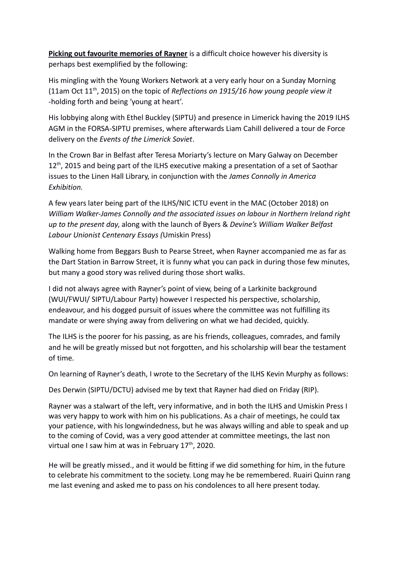**Picking out favourite memories of Rayner** is a difficult choice however his diversity is perhaps best exemplified by the following:

His mingling with the Young Workers Network at a very early hour on a Sunday Morning (11am Oct 11th, 2015) on the topic of *Reflections on 1915/16 how young people view it* -holding forth and being 'young at heart'.

His lobbying along with Ethel Buckley (SIPTU) and presence in Limerick having the 2019 ILHS AGM in the FORSA-SIPTU premises, where afterwards Liam Cahill delivered a tour de Force delivery on the *Events of the Limerick Soviet*.

In the Crown Bar in Belfast after Teresa Moriarty's lecture on Mary Galway on December  $12<sup>th</sup>$ , 2015 and being part of the ILHS executive making a presentation of a set of Saothar issues to the Linen Hall Library, in conjunction with the *James Connolly in America Exhibition.*

A few years later being part of the ILHS/NIC ICTU event in the MAC (October 2018) on *William Walker-James Connolly and the associated issues on labour in Northern Ireland right up to the present day*, along with the launch of Byers & *Devine's William Walker Belfast Labour Unionist Centenary Essays (*Umiskin Press)

Walking home from Beggars Bush to Pearse Street, when Rayner accompanied me as far as the Dart Station in Barrow Street, it is funny what you can pack in during those few minutes, but many a good story was relived during those short walks.

I did not always agree with Rayner's point of view, being of a Larkinite background (WUI/FWUI/ SIPTU/Labour Party) however I respected his perspective, scholarship, endeavour, and his dogged pursuit of issues where the committee was not fulfilling its mandate or were shying away from delivering on what we had decided, quickly.

The ILHS is the poorer for his passing, as are his friends, colleagues, comrades, and family and he will be greatly missed but not forgotten, and his scholarship will bear the testament of time.

On learning of Rayner's death, I wrote to the Secretary of the ILHS Kevin Murphy as follows:

Des Derwin (SIPTU/DCTU) advised me by text that Rayner had died on Friday (RIP).

Rayner was a stalwart of the left, very informative, and in both the ILHS and Umiskin Press I was very happy to work with him on his publications. As a chair of meetings, he could tax your patience, with his longwindedness, but he was always willing and able to speak and up to the coming of Covid, was a very good attender at committee meetings, the last non virtual one I saw him at was in February  $17<sup>th</sup>$ , 2020.

He will be greatly missed., and it would be fitting if we did something for him, in the future to celebrate his commitment to the society. Long may he be remembered. Ruairi Quinn rang me last evening and asked me to pass on his condolences to all here present today.